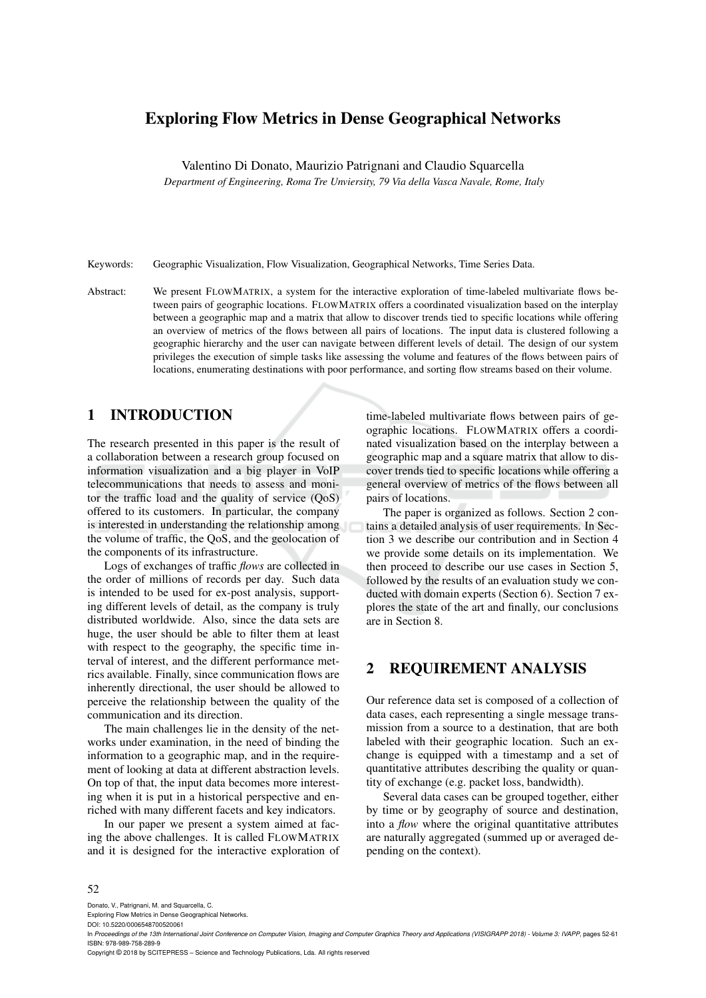## Exploring Flow Metrics in Dense Geographical Networks

Valentino Di Donato, Maurizio Patrignani and Claudio Squarcella

*Department of Engineering, Roma Tre Unviersity, 79 Via della Vasca Navale, Rome, Italy*

Keywords: Geographic Visualization, Flow Visualization, Geographical Networks, Time Series Data.

Abstract: We present FLOWMATRIX, a system for the interactive exploration of time-labeled multivariate flows between pairs of geographic locations. FLOWMATRIX offers a coordinated visualization based on the interplay between a geographic map and a matrix that allow to discover trends tied to specific locations while offering an overview of metrics of the flows between all pairs of locations. The input data is clustered following a geographic hierarchy and the user can navigate between different levels of detail. The design of our system privileges the execution of simple tasks like assessing the volume and features of the flows between pairs of locations, enumerating destinations with poor performance, and sorting flow streams based on their volume.

### 1 INTRODUCTION

The research presented in this paper is the result of a collaboration between a research group focused on information visualization and a big player in VoIP telecommunications that needs to assess and monitor the traffic load and the quality of service (QoS) offered to its customers. In particular, the company is interested in understanding the relationship among the volume of traffic, the QoS, and the geolocation of the components of its infrastructure.

Logs of exchanges of traffic *flows* are collected in the order of millions of records per day. Such data is intended to be used for ex-post analysis, supporting different levels of detail, as the company is truly distributed worldwide. Also, since the data sets are huge, the user should be able to filter them at least with respect to the geography, the specific time interval of interest, and the different performance metrics available. Finally, since communication flows are inherently directional, the user should be allowed to perceive the relationship between the quality of the communication and its direction.

The main challenges lie in the density of the networks under examination, in the need of binding the information to a geographic map, and in the requirement of looking at data at different abstraction levels. On top of that, the input data becomes more interesting when it is put in a historical perspective and enriched with many different facets and key indicators.

In our paper we present a system aimed at facing the above challenges. It is called FLOWMATRIX and it is designed for the interactive exploration of

time-labeled multivariate flows between pairs of geographic locations. FLOWMATRIX offers a coordinated visualization based on the interplay between a geographic map and a square matrix that allow to discover trends tied to specific locations while offering a general overview of metrics of the flows between all pairs of locations.

The paper is organized as follows. Section 2 contains a detailed analysis of user requirements. In Section 3 we describe our contribution and in Section 4 we provide some details on its implementation. We then proceed to describe our use cases in Section 5, followed by the results of an evaluation study we conducted with domain experts (Section 6). Section 7 explores the state of the art and finally, our conclusions are in Section 8.

### 2 REQUIREMENT ANALYSIS

Our reference data set is composed of a collection of data cases, each representing a single message transmission from a source to a destination, that are both labeled with their geographic location. Such an exchange is equipped with a timestamp and a set of quantitative attributes describing the quality or quantity of exchange (e.g. packet loss, bandwidth).

Several data cases can be grouped together, either by time or by geography of source and destination, into a *flow* where the original quantitative attributes are naturally aggregated (summed up or averaged depending on the context).

#### 52

Donato, V., Patrignani, M. and Squarcella, C.

Copyright © 2018 by SCITEPRESS – Science and Technology Publications, Lda. All rights reserved

Exploring Flow Metrics in Dense Geographical Networks. DOI: 10.5220/0006548700520061

In *Proceedings of the 13th International Joint Conference on Computer Vision, Imaging and Computer Graphics Theory and Applications (VISIGRAPP 2018) - Volume 3: IVAPP*, pages 52-61 ISBN: 978-989-758-289-9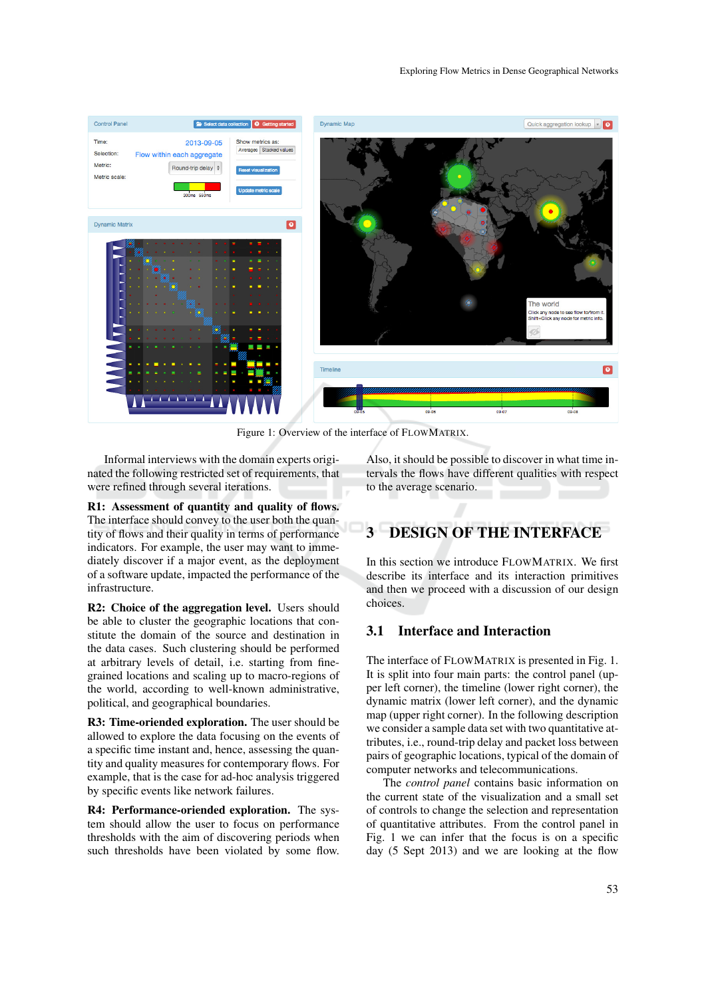

Figure 1: Overview of the interface of FLOWMATRIX.

Informal interviews with the domain experts originated the following restricted set of requirements, that were refined through several iterations.

R1: Assessment of quantity and quality of flows. The interface should convey to the user both the quantity of flows and their quality in terms of performance indicators. For example, the user may want to immediately discover if a major event, as the deployment of a software update, impacted the performance of the infrastructure.

R2: Choice of the aggregation level. Users should be able to cluster the geographic locations that constitute the domain of the source and destination in the data cases. Such clustering should be performed at arbitrary levels of detail, i.e. starting from finegrained locations and scaling up to macro-regions of the world, according to well-known administrative, political, and geographical boundaries.

R3: Time-oriended exploration. The user should be allowed to explore the data focusing on the events of a specific time instant and, hence, assessing the quantity and quality measures for contemporary flows. For example, that is the case for ad-hoc analysis triggered by specific events like network failures.

R4: Performance-oriended exploration. The system should allow the user to focus on performance thresholds with the aim of discovering periods when such thresholds have been violated by some flow.

Also, it should be possible to discover in what time intervals the flows have different qualities with respect to the average scenario.

# 3 DESIGN OF THE INTERFACE

In this section we introduce FLOWMATRIX. We first describe its interface and its interaction primitives and then we proceed with a discussion of our design choices.

### 3.1 Interface and Interaction

The interface of FLOWMATRIX is presented in Fig. 1. It is split into four main parts: the control panel (upper left corner), the timeline (lower right corner), the dynamic matrix (lower left corner), and the dynamic map (upper right corner). In the following description we consider a sample data set with two quantitative attributes, i.e., round-trip delay and packet loss between pairs of geographic locations, typical of the domain of computer networks and telecommunications.

The *control panel* contains basic information on the current state of the visualization and a small set of controls to change the selection and representation of quantitative attributes. From the control panel in Fig. 1 we can infer that the focus is on a specific day (5 Sept 2013) and we are looking at the flow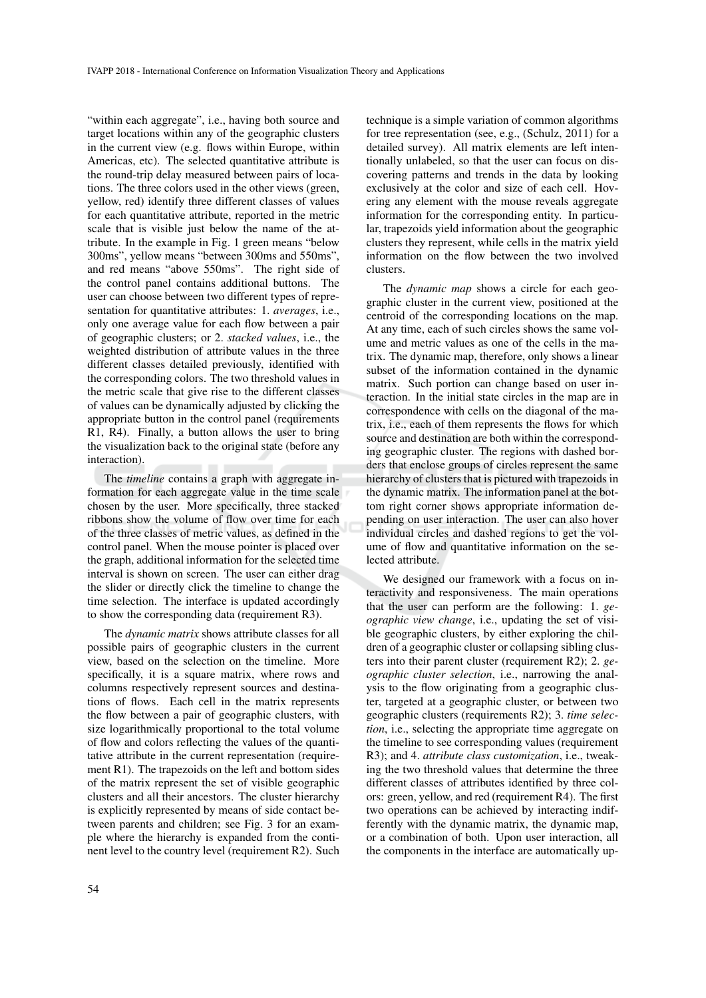"within each aggregate", i.e., having both source and target locations within any of the geographic clusters in the current view (e.g. flows within Europe, within Americas, etc). The selected quantitative attribute is the round-trip delay measured between pairs of locations. The three colors used in the other views (green, yellow, red) identify three different classes of values for each quantitative attribute, reported in the metric scale that is visible just below the name of the attribute. In the example in Fig. 1 green means "below 300ms", yellow means "between 300ms and 550ms", and red means "above 550ms". The right side of the control panel contains additional buttons. The user can choose between two different types of representation for quantitative attributes: 1. *averages*, i.e., only one average value for each flow between a pair of geographic clusters; or 2. *stacked values*, i.e., the weighted distribution of attribute values in the three different classes detailed previously, identified with the corresponding colors. The two threshold values in the metric scale that give rise to the different classes of values can be dynamically adjusted by clicking the appropriate button in the control panel (requirements R1, R4). Finally, a button allows the user to bring the visualization back to the original state (before any interaction).

The *timeline* contains a graph with aggregate information for each aggregate value in the time scale chosen by the user. More specifically, three stacked ribbons show the volume of flow over time for each of the three classes of metric values, as defined in the control panel. When the mouse pointer is placed over the graph, additional information for the selected time interval is shown on screen. The user can either drag the slider or directly click the timeline to change the time selection. The interface is updated accordingly to show the corresponding data (requirement R3).

The *dynamic matrix* shows attribute classes for all possible pairs of geographic clusters in the current view, based on the selection on the timeline. More specifically, it is a square matrix, where rows and columns respectively represent sources and destinations of flows. Each cell in the matrix represents the flow between a pair of geographic clusters, with size logarithmically proportional to the total volume of flow and colors reflecting the values of the quantitative attribute in the current representation (requirement R1). The trapezoids on the left and bottom sides of the matrix represent the set of visible geographic clusters and all their ancestors. The cluster hierarchy is explicitly represented by means of side contact between parents and children; see Fig. 3 for an example where the hierarchy is expanded from the continent level to the country level (requirement R2). Such

We designed our framework with a focus on interactivity and responsiveness. The main operations that the user can perform are the following: 1. *geographic view change*, i.e., updating the set of visible geographic clusters, by either exploring the children of a geographic cluster or collapsing sibling clusters into their parent cluster (requirement R2); 2. *geographic cluster selection*, i.e., narrowing the analysis to the flow originating from a geographic cluster, targeted at a geographic cluster, or between two geographic clusters (requirements R2); 3. *time selection*, i.e., selecting the appropriate time aggregate on the timeline to see corresponding values (requirement R3); and 4. *attribute class customization*, i.e., tweaking the two threshold values that determine the three different classes of attributes identified by three colors: green, yellow, and red (requirement R4). The first two operations can be achieved by interacting indifferently with the dynamic matrix, the dynamic map, or a combination of both. Upon user interaction, all the components in the interface are automatically up-

technique is a simple variation of common algorithms for tree representation (see, e.g., (Schulz, 2011) for a detailed survey). All matrix elements are left intentionally unlabeled, so that the user can focus on discovering patterns and trends in the data by looking exclusively at the color and size of each cell. Hovering any element with the mouse reveals aggregate information for the corresponding entity. In particular, trapezoids yield information about the geographic clusters they represent, while cells in the matrix yield information on the flow between the two involved clusters.

The *dynamic map* shows a circle for each geographic cluster in the current view, positioned at the centroid of the corresponding locations on the map. At any time, each of such circles shows the same volume and metric values as one of the cells in the matrix. The dynamic map, therefore, only shows a linear subset of the information contained in the dynamic matrix. Such portion can change based on user interaction. In the initial state circles in the map are in correspondence with cells on the diagonal of the matrix, i.e., each of them represents the flows for which source and destination are both within the corresponding geographic cluster. The regions with dashed borders that enclose groups of circles represent the same hierarchy of clusters that is pictured with trapezoids in the dynamic matrix. The information panel at the bottom right corner shows appropriate information depending on user interaction. The user can also hover individual circles and dashed regions to get the volume of flow and quantitative information on the selected attribute.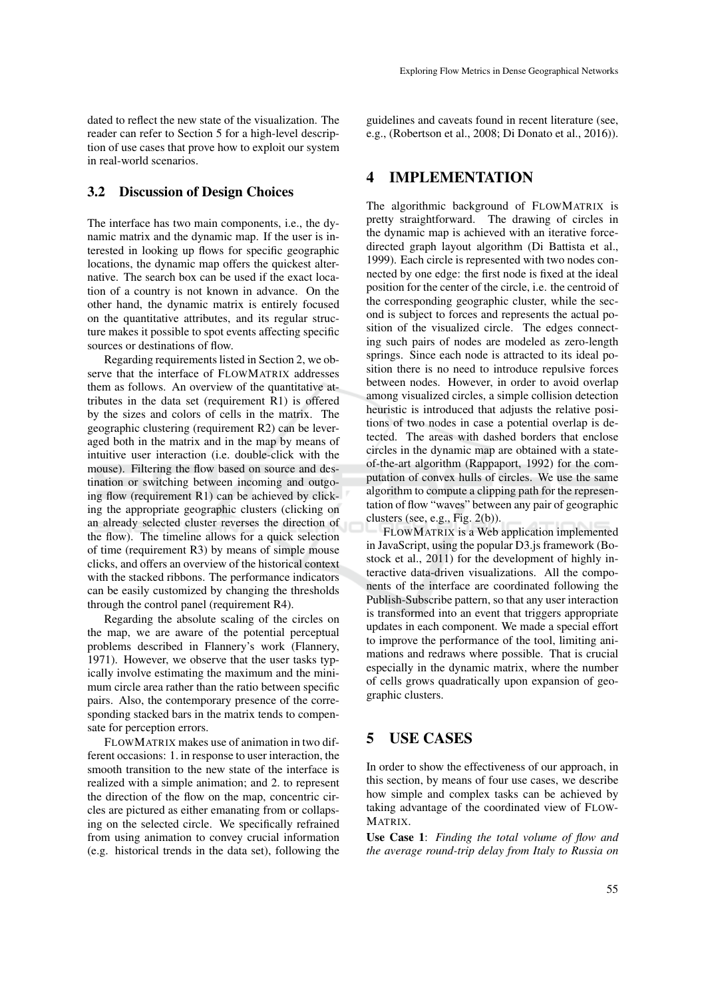dated to reflect the new state of the visualization. The reader can refer to Section 5 for a high-level description of use cases that prove how to exploit our system in real-world scenarios.

#### 3.2 Discussion of Design Choices

The interface has two main components, i.e., the dynamic matrix and the dynamic map. If the user is interested in looking up flows for specific geographic locations, the dynamic map offers the quickest alternative. The search box can be used if the exact location of a country is not known in advance. On the other hand, the dynamic matrix is entirely focused on the quantitative attributes, and its regular structure makes it possible to spot events affecting specific sources or destinations of flow.

Regarding requirements listed in Section 2, we observe that the interface of FLOWMATRIX addresses them as follows. An overview of the quantitative attributes in the data set (requirement R1) is offered by the sizes and colors of cells in the matrix. The geographic clustering (requirement R2) can be leveraged both in the matrix and in the map by means of intuitive user interaction (i.e. double-click with the mouse). Filtering the flow based on source and destination or switching between incoming and outgoing flow (requirement R1) can be achieved by clicking the appropriate geographic clusters (clicking on an already selected cluster reverses the direction of the flow). The timeline allows for a quick selection of time (requirement R3) by means of simple mouse clicks, and offers an overview of the historical context with the stacked ribbons. The performance indicators can be easily customized by changing the thresholds through the control panel (requirement R4).

Regarding the absolute scaling of the circles on the map, we are aware of the potential perceptual problems described in Flannery's work (Flannery, 1971). However, we observe that the user tasks typically involve estimating the maximum and the minimum circle area rather than the ratio between specific pairs. Also, the contemporary presence of the corresponding stacked bars in the matrix tends to compensate for perception errors.

FLOWMATRIX makes use of animation in two different occasions: 1. in response to user interaction, the smooth transition to the new state of the interface is realized with a simple animation; and 2. to represent the direction of the flow on the map, concentric circles are pictured as either emanating from or collapsing on the selected circle. We specifically refrained from using animation to convey crucial information (e.g. historical trends in the data set), following the guidelines and caveats found in recent literature (see, e.g., (Robertson et al., 2008; Di Donato et al., 2016)).

### 4 IMPLEMENTATION

The algorithmic background of FLOWMATRIX is pretty straightforward. The drawing of circles in the dynamic map is achieved with an iterative forcedirected graph layout algorithm (Di Battista et al., 1999). Each circle is represented with two nodes connected by one edge: the first node is fixed at the ideal position for the center of the circle, i.e. the centroid of the corresponding geographic cluster, while the second is subject to forces and represents the actual position of the visualized circle. The edges connecting such pairs of nodes are modeled as zero-length springs. Since each node is attracted to its ideal position there is no need to introduce repulsive forces between nodes. However, in order to avoid overlap among visualized circles, a simple collision detection heuristic is introduced that adjusts the relative positions of two nodes in case a potential overlap is detected. The areas with dashed borders that enclose circles in the dynamic map are obtained with a stateof-the-art algorithm (Rappaport, 1992) for the computation of convex hulls of circles. We use the same algorithm to compute a clipping path for the representation of flow "waves" between any pair of geographic clusters (see, e.g., Fig. 2(b)).

FLOWMATRIX is a Web application implemented in JavaScript, using the popular D3.js framework (Bostock et al., 2011) for the development of highly interactive data-driven visualizations. All the components of the interface are coordinated following the Publish-Subscribe pattern, so that any user interaction is transformed into an event that triggers appropriate updates in each component. We made a special effort to improve the performance of the tool, limiting animations and redraws where possible. That is crucial especially in the dynamic matrix, where the number of cells grows quadratically upon expansion of geographic clusters.

### 5 USE CASES

In order to show the effectiveness of our approach, in this section, by means of four use cases, we describe how simple and complex tasks can be achieved by taking advantage of the coordinated view of FLOW-MATRIX.

Use Case 1: *Finding the total volume of flow and the average round-trip delay from Italy to Russia on*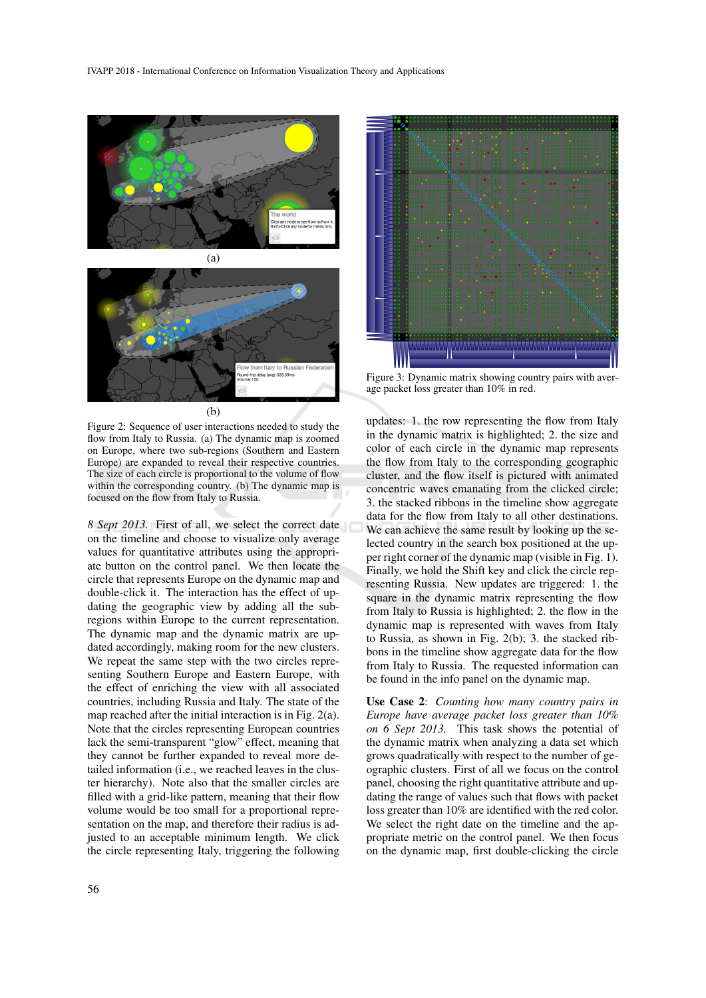



Figure 2: Sequence of user interactions needed to study the flow from Italy to Russia. (a) The dynamic map is zoomed on Europe, where two sub-regions (Southern and Eastern Europe) are expanded to reveal their respective countries. The size of each circle is proportional to the volume of flow within the corresponding country. (b) The dynamic map is focused on the flow from Italy to Russia.

*8 Sept 2013.* First of all, we select the correct date on the timeline and choose to visualize only average values for quantitative attributes using the appropriate button on the control panel. We then locate the circle that represents Europe on the dynamic map and double-click it. The interaction has the effect of updating the geographic view by adding all the subregions within Europe to the current representation. The dynamic map and the dynamic matrix are updated accordingly, making room for the new clusters. We repeat the same step with the two circles representing Southern Europe and Eastern Europe, with the effect of enriching the view with all associated countries, including Russia and Italy. The state of the map reached after the initial interaction is in Fig. 2(a). Note that the circles representing European countries lack the semi-transparent "glow" effect, meaning that they cannot be further expanded to reveal more detailed information (i.e., we reached leaves in the cluster hierarchy). Note also that the smaller circles are filled with a grid-like pattern, meaning that their flow volume would be too small for a proportional representation on the map, and therefore their radius is adjusted to an acceptable minimum length. We click the circle representing Italy, triggering the following



Figure 3: Dynamic matrix showing country pairs with average packet loss greater than 10% in red.

updates: 1. the row representing the flow from Italy in the dynamic matrix is highlighted; 2. the size and color of each circle in the dynamic map represents the flow from Italy to the corresponding geographic cluster, and the flow itself is pictured with animated concentric waves emanating from the clicked circle; 3. the stacked ribbons in the timeline show aggregate data for the flow from Italy to all other destinations. We can achieve the same result by looking up the selected country in the search box positioned at the upper right corner of the dynamic map (visible in Fig. 1). Finally, we hold the Shift key and click the circle representing Russia. New updates are triggered: 1. the square in the dynamic matrix representing the flow from Italy to Russia is highlighted; 2. the flow in the dynamic map is represented with waves from Italy to Russia, as shown in Fig. 2(b); 3. the stacked ribbons in the timeline show aggregate data for the flow from Italy to Russia. The requested information can be found in the info panel on the dynamic map.

Use Case 2: *Counting how many country pairs in Europe have average packet loss greater than 10% on 6 Sept 2013.* This task shows the potential of the dynamic matrix when analyzing a data set which grows quadratically with respect to the number of geographic clusters. First of all we focus on the control panel, choosing the right quantitative attribute and updating the range of values such that flows with packet loss greater than 10% are identified with the red color. We select the right date on the timeline and the appropriate metric on the control panel. We then focus on the dynamic map, first double-clicking the circle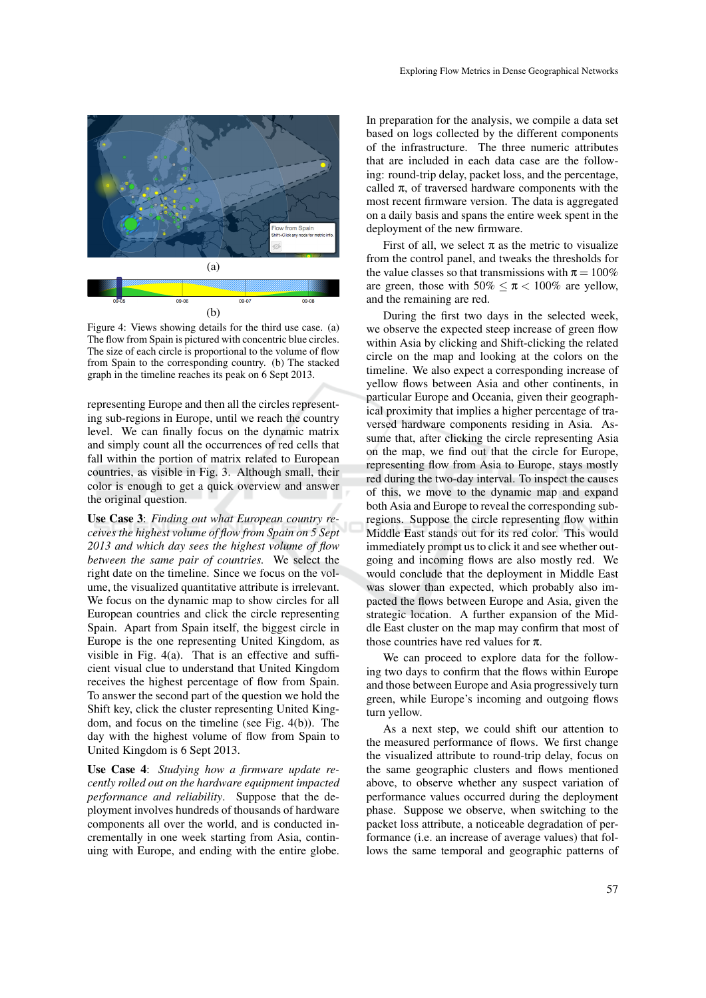

Figure 4: Views showing details for the third use case. (a) The flow from Spain is pictured with concentric blue circles. The size of each circle is proportional to the volume of flow from Spain to the corresponding country. (b) The stacked graph in the timeline reaches its peak on 6 Sept 2013.

representing Europe and then all the circles representing sub-regions in Europe, until we reach the country level. We can finally focus on the dynamic matrix and simply count all the occurrences of red cells that fall within the portion of matrix related to European countries, as visible in Fig. 3. Although small, their color is enough to get a quick overview and answer the original question.

Use Case 3: *Finding out what European country receives the highest volume of flow from Spain on 5 Sept 2013 and which day sees the highest volume of flow between the same pair of countries.* We select the right date on the timeline. Since we focus on the volume, the visualized quantitative attribute is irrelevant. We focus on the dynamic map to show circles for all European countries and click the circle representing Spain. Apart from Spain itself, the biggest circle in Europe is the one representing United Kingdom, as visible in Fig. 4(a). That is an effective and sufficient visual clue to understand that United Kingdom receives the highest percentage of flow from Spain. To answer the second part of the question we hold the Shift key, click the cluster representing United Kingdom, and focus on the timeline (see Fig. 4(b)). The day with the highest volume of flow from Spain to United Kingdom is 6 Sept 2013.

Use Case 4: *Studying how a firmware update recently rolled out on the hardware equipment impacted performance and reliability*. Suppose that the deployment involves hundreds of thousands of hardware components all over the world, and is conducted incrementally in one week starting from Asia, continuing with Europe, and ending with the entire globe.

In preparation for the analysis, we compile a data set based on logs collected by the different components of the infrastructure. The three numeric attributes that are included in each data case are the following: round-trip delay, packet loss, and the percentage, called  $\pi$ , of traversed hardware components with the most recent firmware version. The data is aggregated on a daily basis and spans the entire week spent in the deployment of the new firmware.

First of all, we select  $\pi$  as the metric to visualize from the control panel, and tweaks the thresholds for the value classes so that transmissions with  $\pi = 100\%$ are green, those with  $50\% \leq \pi < 100\%$  are yellow, and the remaining are red.

During the first two days in the selected week, we observe the expected steep increase of green flow within Asia by clicking and Shift-clicking the related circle on the map and looking at the colors on the timeline. We also expect a corresponding increase of yellow flows between Asia and other continents, in particular Europe and Oceania, given their geographical proximity that implies a higher percentage of traversed hardware components residing in Asia. Assume that, after clicking the circle representing Asia on the map, we find out that the circle for Europe, representing flow from Asia to Europe, stays mostly red during the two-day interval. To inspect the causes of this, we move to the dynamic map and expand both Asia and Europe to reveal the corresponding subregions. Suppose the circle representing flow within Middle East stands out for its red color. This would immediately prompt us to click it and see whether outgoing and incoming flows are also mostly red. We would conclude that the deployment in Middle East was slower than expected, which probably also impacted the flows between Europe and Asia, given the strategic location. A further expansion of the Middle East cluster on the map may confirm that most of those countries have red values for  $\pi$ .

We can proceed to explore data for the following two days to confirm that the flows within Europe and those between Europe and Asia progressively turn green, while Europe's incoming and outgoing flows turn yellow.

As a next step, we could shift our attention to the measured performance of flows. We first change the visualized attribute to round-trip delay, focus on the same geographic clusters and flows mentioned above, to observe whether any suspect variation of performance values occurred during the deployment phase. Suppose we observe, when switching to the packet loss attribute, a noticeable degradation of performance (i.e. an increase of average values) that follows the same temporal and geographic patterns of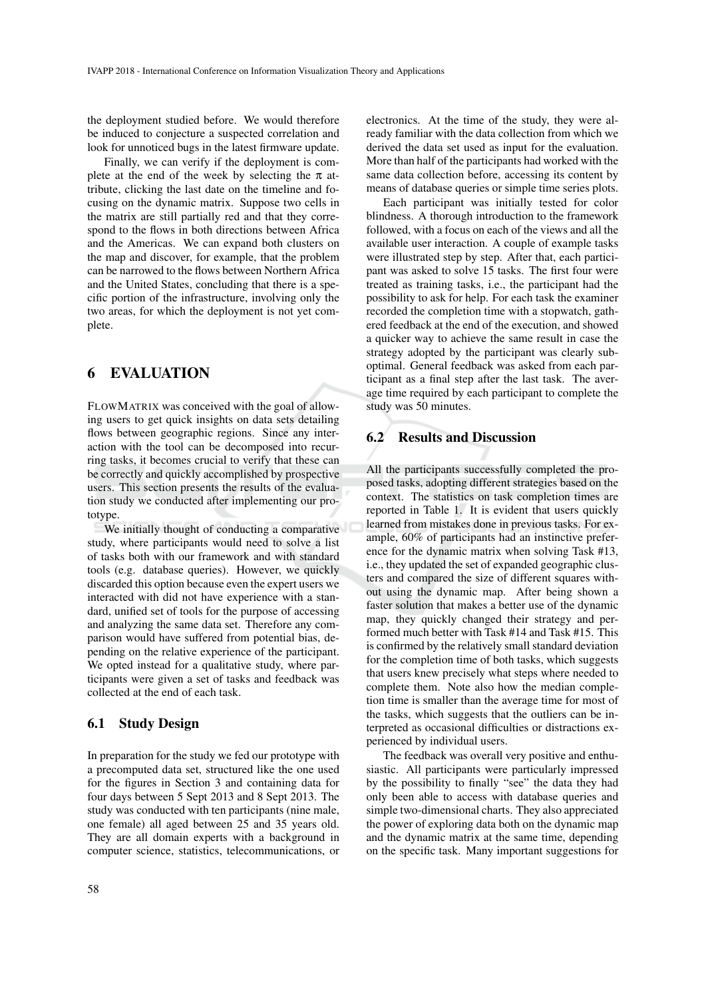the deployment studied before. We would therefore be induced to conjecture a suspected correlation and look for unnoticed bugs in the latest firmware update.

Finally, we can verify if the deployment is complete at the end of the week by selecting the  $\pi$  attribute, clicking the last date on the timeline and focusing on the dynamic matrix. Suppose two cells in the matrix are still partially red and that they correspond to the flows in both directions between Africa and the Americas. We can expand both clusters on the map and discover, for example, that the problem can be narrowed to the flows between Northern Africa and the United States, concluding that there is a specific portion of the infrastructure, involving only the two areas, for which the deployment is not yet complete.

### 6 EVALUATION

FLOWMATRIX was conceived with the goal of allowing users to get quick insights on data sets detailing flows between geographic regions. Since any interaction with the tool can be decomposed into recurring tasks, it becomes crucial to verify that these can be correctly and quickly accomplished by prospective users. This section presents the results of the evaluation study we conducted after implementing our prototype.

We initially thought of conducting a comparative study, where participants would need to solve a list of tasks both with our framework and with standard tools (e.g. database queries). However, we quickly discarded this option because even the expert users we interacted with did not have experience with a standard, unified set of tools for the purpose of accessing and analyzing the same data set. Therefore any comparison would have suffered from potential bias, depending on the relative experience of the participant. We opted instead for a qualitative study, where participants were given a set of tasks and feedback was collected at the end of each task.

#### 6.1 Study Design

In preparation for the study we fed our prototype with a precomputed data set, structured like the one used for the figures in Section 3 and containing data for four days between 5 Sept 2013 and 8 Sept 2013. The study was conducted with ten participants (nine male, one female) all aged between 25 and 35 years old. They are all domain experts with a background in computer science, statistics, telecommunications, or electronics. At the time of the study, they were already familiar with the data collection from which we derived the data set used as input for the evaluation. More than half of the participants had worked with the same data collection before, accessing its content by means of database queries or simple time series plots.

Each participant was initially tested for color blindness. A thorough introduction to the framework followed, with a focus on each of the views and all the available user interaction. A couple of example tasks were illustrated step by step. After that, each participant was asked to solve 15 tasks. The first four were treated as training tasks, i.e., the participant had the possibility to ask for help. For each task the examiner recorded the completion time with a stopwatch, gathered feedback at the end of the execution, and showed a quicker way to achieve the same result in case the strategy adopted by the participant was clearly suboptimal. General feedback was asked from each participant as a final step after the last task. The average time required by each participant to complete the study was 50 minutes.

### 6.2 Results and Discussion

All the participants successfully completed the proposed tasks, adopting different strategies based on the context. The statistics on task completion times are reported in Table 1. It is evident that users quickly learned from mistakes done in previous tasks. For example, 60% of participants had an instinctive preference for the dynamic matrix when solving Task #13, i.e., they updated the set of expanded geographic clusters and compared the size of different squares without using the dynamic map. After being shown a faster solution that makes a better use of the dynamic map, they quickly changed their strategy and performed much better with Task #14 and Task #15. This is confirmed by the relatively small standard deviation for the completion time of both tasks, which suggests that users knew precisely what steps where needed to complete them. Note also how the median completion time is smaller than the average time for most of the tasks, which suggests that the outliers can be interpreted as occasional difficulties or distractions experienced by individual users.

The feedback was overall very positive and enthusiastic. All participants were particularly impressed by the possibility to finally "see" the data they had only been able to access with database queries and simple two-dimensional charts. They also appreciated the power of exploring data both on the dynamic map and the dynamic matrix at the same time, depending on the specific task. Many important suggestions for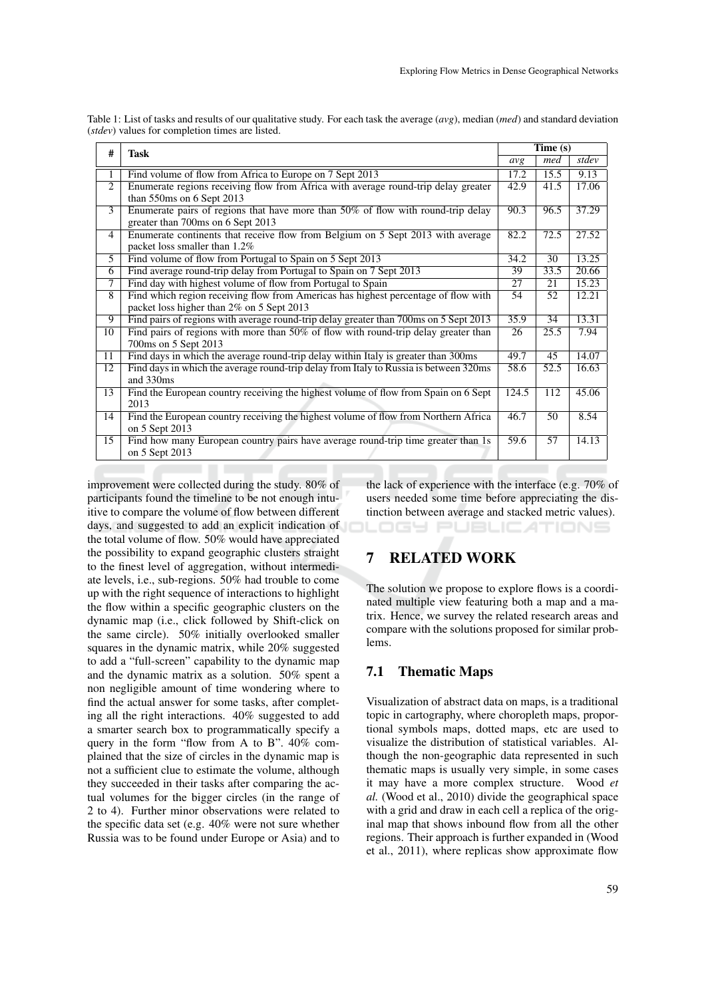| #               | <b>Task</b>                                                                                                                     | Time(s) |                 |       |
|-----------------|---------------------------------------------------------------------------------------------------------------------------------|---------|-----------------|-------|
|                 |                                                                                                                                 | avg     | med             | stdev |
| 1               | Find volume of flow from Africa to Europe on 7 Sept 2013                                                                        | 17.2    | 15.5            | 9.13  |
| 2               | Enumerate regions receiving flow from Africa with average round-trip delay greater<br>than 550ms on 6 Sept 2013                 | 42.9    | 41.5            | 17.06 |
| 3               | Enumerate pairs of regions that have more than $50\%$ of flow with round-trip delay<br>greater than 700ms on 6 Sept 2013        | 90.3    | 96.5            | 37.29 |
| $\overline{4}$  | Enumerate continents that receive flow from Belgium on 5 Sept 2013 with average<br>packet loss smaller than 1.2%                | 82.2    | 72.5            | 27.52 |
| 5               | Find volume of flow from Portugal to Spain on 5 Sept 2013                                                                       | 34.2    | $\overline{30}$ | 13.25 |
| 6               | Find average round-trip delay from Portugal to Spain on 7 Sept 2013                                                             | 39      | 33.5            | 20.66 |
| $\overline{7}$  | Find day with highest volume of flow from Portugal to Spain                                                                     | 27      | 21              | 15.23 |
| $\overline{8}$  | Find which region receiving flow from Americas has highest percentage of flow with<br>packet loss higher than 2% on 5 Sept 2013 | 54      | 52              | 12.21 |
| $\overline{9}$  | Find pairs of regions with average round-trip delay greater than 700ms on 5 Sept 2013                                           | 35.9    | $\overline{34}$ | 13.31 |
| 10              | Find pairs of regions with more than $50\%$ of flow with round-trip delay greater than<br>700ms on 5 Sept 2013                  | 26      | 25.5            | 7.94  |
| 11              | Find days in which the average round-trip delay within Italy is greater than 300ms                                              | 49.7    | 45              | 14.07 |
| $\overline{12}$ | Find days in which the average round-trip delay from Italy to Russia is between 320ms<br>and 330ms                              | 58.6    | 52.5            | 16.63 |
| 13              | Find the European country receiving the highest volume of flow from Spain on 6 Sept<br>2013                                     | 124.5   | 112             | 45.06 |
| 14              | Find the European country receiving the highest volume of flow from Northern Africa<br>on 5 Sept 2013                           | 46.7    | 50              | 8.54  |
| 15              | Find how many European country pairs have average round-trip time greater than 1s<br>on 5 Sept 2013                             | 59.6    | 57              | 14.13 |

Table 1: List of tasks and results of our qualitative study. For each task the average (*avg*), median (*med*) and standard deviation (*stdev*) values for completion times are listed.

improvement were collected during the study. 80% of participants found the timeline to be not enough intuitive to compare the volume of flow between different days, and suggested to add an explicit indication of the total volume of flow. 50% would have appreciated the possibility to expand geographic clusters straight to the finest level of aggregation, without intermediate levels, i.e., sub-regions. 50% had trouble to come up with the right sequence of interactions to highlight the flow within a specific geographic clusters on the dynamic map (i.e., click followed by Shift-click on the same circle). 50% initially overlooked smaller squares in the dynamic matrix, while 20% suggested to add a "full-screen" capability to the dynamic map and the dynamic matrix as a solution. 50% spent a non negligible amount of time wondering where to find the actual answer for some tasks, after completing all the right interactions. 40% suggested to add a smarter search box to programmatically specify a query in the form "flow from A to B". 40% complained that the size of circles in the dynamic map is not a sufficient clue to estimate the volume, although they succeeded in their tasks after comparing the actual volumes for the bigger circles (in the range of 2 to 4). Further minor observations were related to the specific data set (e.g. 40% were not sure whether Russia was to be found under Europe or Asia) and to

the lack of experience with the interface (e.g. 70% of users needed some time before appreciating the distinction between average and stacked metric values). 169 PI JBLIC ATIONS

## 7 RELATED WORK

The solution we propose to explore flows is a coordinated multiple view featuring both a map and a matrix. Hence, we survey the related research areas and compare with the solutions proposed for similar problems.

### 7.1 Thematic Maps

Visualization of abstract data on maps, is a traditional topic in cartography, where choropleth maps, proportional symbols maps, dotted maps, etc are used to visualize the distribution of statistical variables. Although the non-geographic data represented in such thematic maps is usually very simple, in some cases it may have a more complex structure. Wood *et al.* (Wood et al., 2010) divide the geographical space with a grid and draw in each cell a replica of the original map that shows inbound flow from all the other regions. Their approach is further expanded in (Wood et al., 2011), where replicas show approximate flow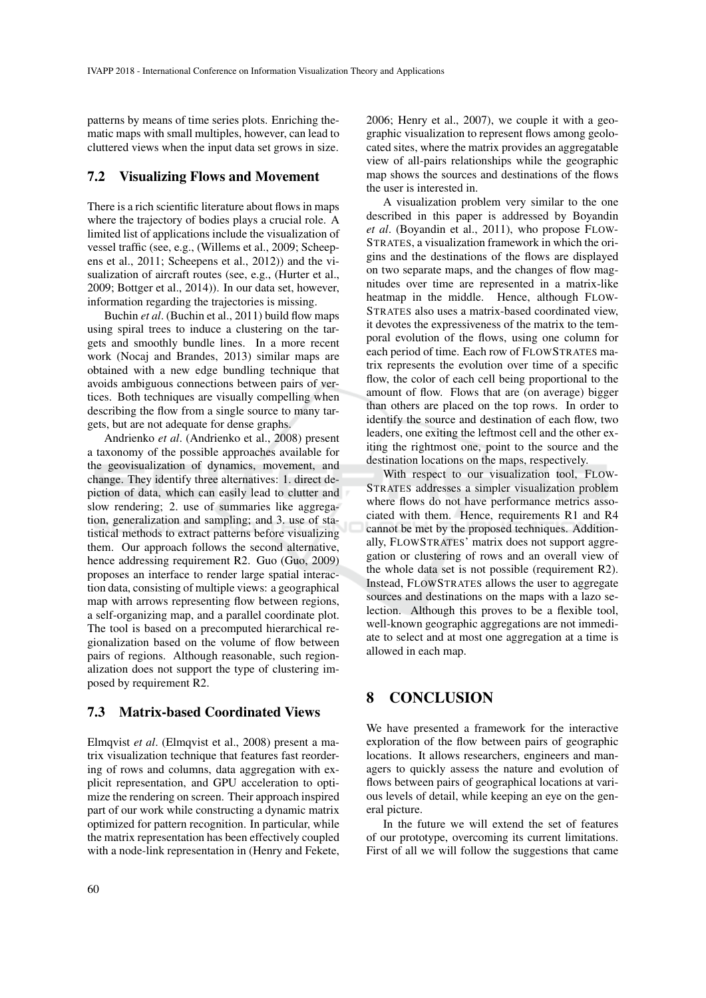patterns by means of time series plots. Enriching thematic maps with small multiples, however, can lead to cluttered views when the input data set grows in size.

#### 7.2 Visualizing Flows and Movement

There is a rich scientific literature about flows in maps where the trajectory of bodies plays a crucial role. A limited list of applications include the visualization of vessel traffic (see, e.g., (Willems et al., 2009; Scheepens et al., 2011; Scheepens et al., 2012)) and the visualization of aircraft routes (see, e.g., (Hurter et al., 2009; Bottger et al., 2014)). In our data set, however, information regarding the trajectories is missing.

Buchin *et al*. (Buchin et al., 2011) build flow maps using spiral trees to induce a clustering on the targets and smoothly bundle lines. In a more recent work (Nocaj and Brandes, 2013) similar maps are obtained with a new edge bundling technique that avoids ambiguous connections between pairs of vertices. Both techniques are visually compelling when describing the flow from a single source to many targets, but are not adequate for dense graphs.

Andrienko *et al*. (Andrienko et al., 2008) present a taxonomy of the possible approaches available for the geovisualization of dynamics, movement, and change. They identify three alternatives: 1. direct depiction of data, which can easily lead to clutter and slow rendering; 2. use of summaries like aggregation, generalization and sampling; and 3. use of statistical methods to extract patterns before visualizing them. Our approach follows the second alternative, hence addressing requirement R2. Guo (Guo, 2009) proposes an interface to render large spatial interaction data, consisting of multiple views: a geographical map with arrows representing flow between regions, a self-organizing map, and a parallel coordinate plot. The tool is based on a precomputed hierarchical regionalization based on the volume of flow between pairs of regions. Although reasonable, such regionalization does not support the type of clustering imposed by requirement R2.

#### 7.3 Matrix-based Coordinated Views

Elmqvist *et al*. (Elmqvist et al., 2008) present a matrix visualization technique that features fast reordering of rows and columns, data aggregation with explicit representation, and GPU acceleration to optimize the rendering on screen. Their approach inspired part of our work while constructing a dynamic matrix optimized for pattern recognition. In particular, while the matrix representation has been effectively coupled with a node-link representation in (Henry and Fekete,

2006; Henry et al., 2007), we couple it with a geographic visualization to represent flows among geolocated sites, where the matrix provides an aggregatable view of all-pairs relationships while the geographic map shows the sources and destinations of the flows the user is interested in.

A visualization problem very similar to the one described in this paper is addressed by Boyandin *et al*. (Boyandin et al., 2011), who propose FLOW-STRATES, a visualization framework in which the origins and the destinations of the flows are displayed on two separate maps, and the changes of flow magnitudes over time are represented in a matrix-like heatmap in the middle. Hence, although FLOW-STRATES also uses a matrix-based coordinated view, it devotes the expressiveness of the matrix to the temporal evolution of the flows, using one column for each period of time. Each row of FLOWSTRATES matrix represents the evolution over time of a specific flow, the color of each cell being proportional to the amount of flow. Flows that are (on average) bigger than others are placed on the top rows. In order to identify the source and destination of each flow, two leaders, one exiting the leftmost cell and the other exiting the rightmost one, point to the source and the destination locations on the maps, respectively.

With respect to our visualization tool, FLOW-STRATES addresses a simpler visualization problem where flows do not have performance metrics associated with them. Hence, requirements R1 and R4 cannot be met by the proposed techniques. Additionally, FLOWSTRATES' matrix does not support aggregation or clustering of rows and an overall view of the whole data set is not possible (requirement R2). Instead, FLOWSTRATES allows the user to aggregate sources and destinations on the maps with a lazo selection. Although this proves to be a flexible tool, well-known geographic aggregations are not immediate to select and at most one aggregation at a time is allowed in each map.

### 8 CONCLUSION

We have presented a framework for the interactive exploration of the flow between pairs of geographic locations. It allows researchers, engineers and managers to quickly assess the nature and evolution of flows between pairs of geographical locations at various levels of detail, while keeping an eye on the general picture.

In the future we will extend the set of features of our prototype, overcoming its current limitations. First of all we will follow the suggestions that came